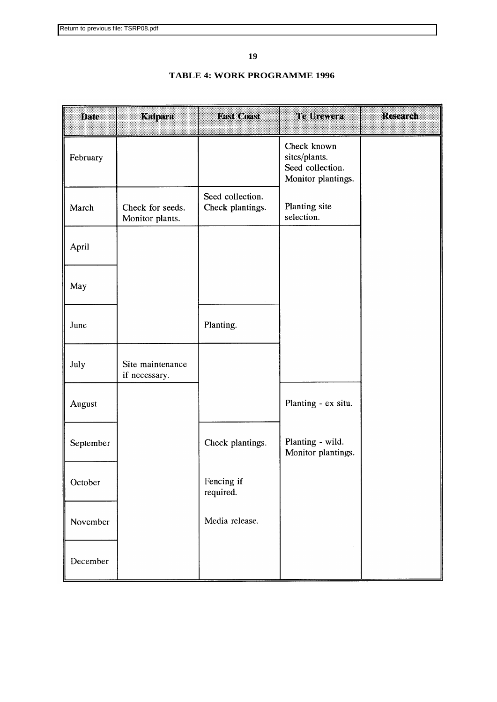# **19**

# **TABLE 4: WORK PROGRAMME 1996**

| Dale      | Kaipara                             | E SKO03S)                            | <b>Etabra</b> zazia                                                    | RECORDED |
|-----------|-------------------------------------|--------------------------------------|------------------------------------------------------------------------|----------|
| February  |                                     |                                      | Check known<br>sites/plants.<br>Seed collection.<br>Monitor plantings. |          |
| March     | Check for seeds.<br>Monitor plants. | Seed collection.<br>Check plantings. | Planting site<br>selection.                                            |          |
| April     |                                     |                                      |                                                                        |          |
| May       |                                     |                                      |                                                                        |          |
| June      |                                     | Planting.                            |                                                                        |          |
| July      | Site maintenance<br>if necessary.   |                                      |                                                                        |          |
| August    |                                     |                                      | Planting - ex situ.                                                    |          |
| September |                                     | Check plantings.                     | Planting - wild.<br>Monitor plantings.                                 |          |
| October   |                                     | Fencing if<br>required.              |                                                                        |          |
| November  |                                     | Media release.                       |                                                                        |          |
| December  |                                     |                                      |                                                                        |          |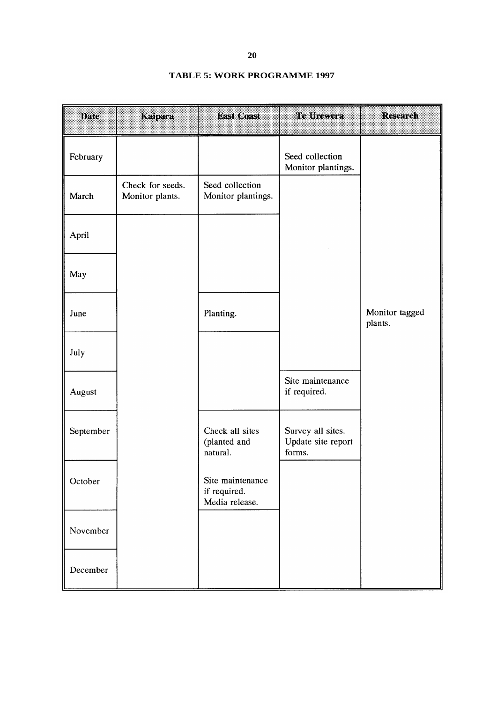| <b>TABLE 5: WORK PROGRAMME 1997</b> |  |  |  |  |
|-------------------------------------|--|--|--|--|
|-------------------------------------|--|--|--|--|

| DAG       | Kaipara                             | <b>DESKORES</b>                                    | Telhevea                                          | Recentan                  |
|-----------|-------------------------------------|----------------------------------------------------|---------------------------------------------------|---------------------------|
| February  |                                     |                                                    | Seed collection<br>Monitor plantings.             |                           |
| March     | Check for seeds.<br>Monitor plants. | Seed collection<br>Monitor plantings.              |                                                   |                           |
| April     |                                     |                                                    |                                                   |                           |
| May       |                                     |                                                    |                                                   |                           |
| June      |                                     | Planting.                                          |                                                   | Monitor tagged<br>plants. |
| July      |                                     |                                                    |                                                   |                           |
| August    |                                     |                                                    | Site maintenance<br>if required.                  |                           |
| September |                                     | Check all sites<br>(planted and<br>natural.        | Survey all sites.<br>Update site report<br>forms. |                           |
| October   |                                     | Site maintenance<br>if required.<br>Media release. |                                                   |                           |
| November  |                                     |                                                    |                                                   |                           |
| December  |                                     |                                                    |                                                   |                           |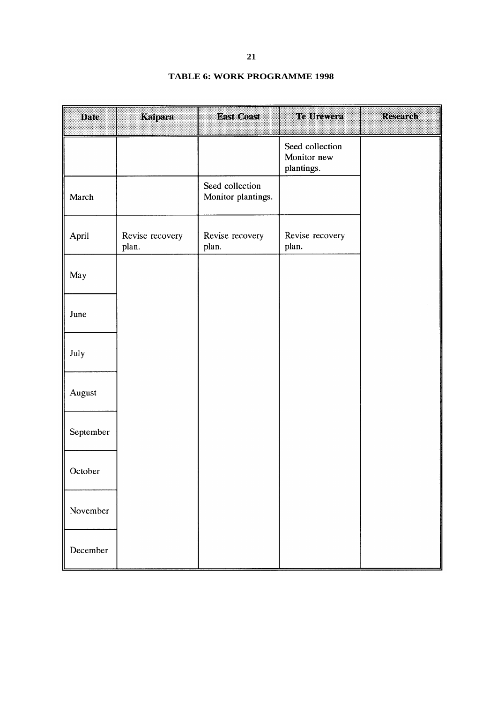# **TABLE 6: WORK PROGRAMME 1998**

| Date      | Kaipara                  | <b>DESTROYED</b>                      | Te Urevera                                   | <b>Research</b> |
|-----------|--------------------------|---------------------------------------|----------------------------------------------|-----------------|
|           |                          |                                       | Seed collection<br>Monitor new<br>plantings. |                 |
| March     |                          | Seed collection<br>Monitor plantings. |                                              |                 |
| April     | Revise recovery<br>plan. | Revise recovery<br>plan.              | Revise recovery<br>plan.                     |                 |
| May       |                          |                                       |                                              |                 |
| June      |                          |                                       |                                              |                 |
| July      |                          |                                       |                                              |                 |
| August    |                          |                                       |                                              |                 |
| September |                          |                                       |                                              |                 |
| October   |                          |                                       |                                              |                 |
| November  |                          |                                       |                                              |                 |
| December  |                          |                                       |                                              |                 |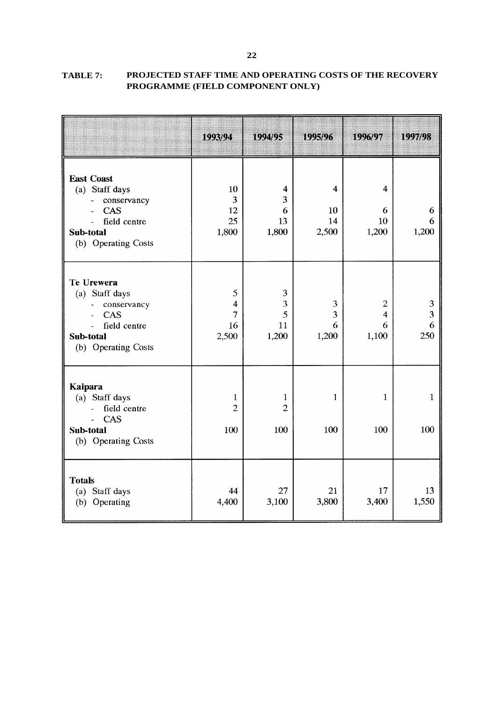|                                                                                                                      | 10023071                              | 199498                               | iden.                                        | idiya z                            | io <i>jid</i> e    |
|----------------------------------------------------------------------------------------------------------------------|---------------------------------------|--------------------------------------|----------------------------------------------|------------------------------------|--------------------|
| <b>East Coast</b><br>(a) Staff days<br>conservancy<br><b>CAS</b><br>field centre<br>Sub-total<br>(b) Operating Costs | 10<br>3<br>12<br>25<br>1,800          | 4<br>3<br>6<br>13<br>1,800           | $\overline{\mathbf{4}}$<br>10<br>14<br>2,500 | $\overline{4}$<br>6<br>10<br>1,200 | 6<br>6<br>1,200    |
| Te Urewera<br>(a) Staff days<br>conservancy<br>CAS<br>field centre<br>Sub-total<br>(b) Operating Costs               | 5<br>4<br>7<br>16<br>2,500            | 3<br>3<br>5<br>11<br>1,200           | 3<br>3<br>6<br>1,200                         | $\overline{2}$<br>4<br>6<br>1,100  | 3<br>3<br>6<br>250 |
| <b>Kaipara</b><br>(a) Staff days<br>field centre<br>CAS<br>Sub-total<br>(b) Operating Costs                          | $\mathbf{1}$<br>$\overline{2}$<br>100 | $\mathbf 1$<br>$\overline{2}$<br>100 | $\mathbf{1}$<br>100                          | $\mathbf{1}$<br>100                | $\mathbf 1$<br>100 |
| <b>Totals</b><br>Staff days<br>(a)<br>Operating<br>(b)                                                               | 44<br>4,400                           | 27<br>3,100                          | 21<br>3,800                                  | 17<br>3,400                        | 13<br>1,550        |

**TABLE 7: PROJECTED STAFF TIME AND OPERATING COSTS OF THE RECOVERY PROGRAMME (FIELD COMPONENT ONLY)**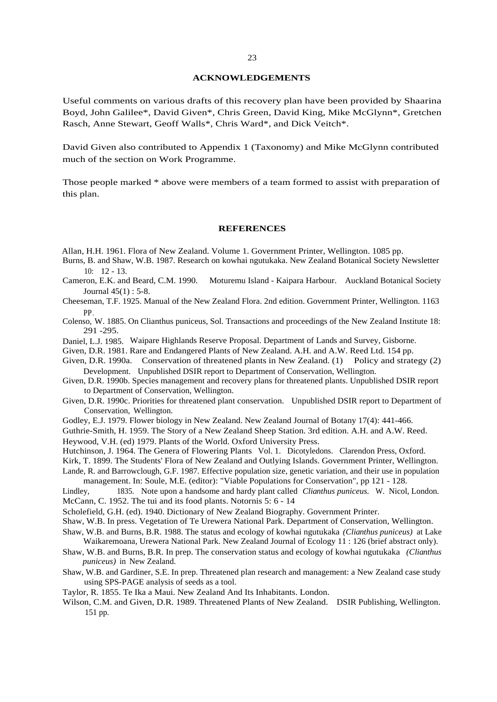#### **ACKNOWLEDGEMENTS**

Useful comments on various drafts of this recovery plan have been provided by Shaarina Boyd, John Galilee\*, David Given\*, Chris Green, David King, Mike McGlynn\*, Gretchen Rasch, Anne Stewart, Geoff Walls\*, Chris Ward\*, and Dick Veitch\*.

David Given also contributed to Appendix 1 (Taxonomy) and Mike McGlynn contributed much of the section on Work Programme.

Those people marked \* above were members of a team formed to assist with preparation of this plan.

#### **REFERENCES**

- Allan, H.H. 1961. Flora of New Zealand. Volume 1. Government Printer, Wellington. 1085 pp.
- Burns, B. and Shaw, W.B. 1987. Research on kowhai ngutukaka. New Zealand Botanical Society Newsletter 10: 12 - 13.
- Cameron, E.K. and Beard, C.M. 1990. Moturemu Island Kaipara Harbour. Auckland Botanical Society Journal 45(1) : 5-8.
- Cheeseman, T.F. 1925. Manual of the New Zealand Flora. 2nd edition. Government Printer, Wellington. 1163 PP.
- Colenso, W. 1885. On Clianthus puniceus, Sol. Transactions and proceedings of the New Zealand Institute 18: 291 -295.
- Daniel, L.J. 1985. Waipare Highlands Reserve Proposal. Department of Lands and Survey, Gisborne.
- Given, D.R. 1981. Rare and Endangered Plants of New Zealand. A.H. and A.W. Reed Ltd. 154 pp.
- Given, D.R. 1990a. Conservation of threatened plants in New Zealand. (1) Policy and strategy (2) Development. Unpublished DSIR report to Department of Conservation, Wellington.
- Given, D.R. 1990b. Species management and recovery plans for threatened plants. Unpublished DSIR report to Department of Conservation, Wellington.
- Given, D.R. 1990c. Priorities for threatened plant conservation. Unpublished DSIR report to Department of Conservation, Wellington.
- Godley, E.J. 1979. Flower biology in New Zealand. New Zealand Journal of Botany 17(4): 441-466.
- Guthrie-Smith, H. 1959. The Story of a New Zealand Sheep Station. 3rd edition. A.H. and A.W. Reed.

Heywood, V.H. (ed) 1979. Plants of the World. Oxford University Press.

- Hutchinson, J. 1964. The Genera of Flowering Plants Vol. 1. Dicotyledons. Clarendon Press, Oxford.
- Kirk, T. 1899. The Students' Flora of New Zealand and Outlying Islands. Government Printer, Wellington.
- Lande, R. and Barrowclough, G.F. 1987. Effective population size, genetic variation, and their use in population management. In: Soule, M.E. (editor): "Viable Populations for Conservation", pp 121 - 128.

Lindley, 1835. Note upon a handsome and hardy plant called *Clianthus puniceus.* W. Nicol, London. McCann, C. 1952. The tui and its food plants. Notornis 5: 6 - 14

- Scholefield, G.H. (ed). 1940. Dictionary of New Zealand Biography. Government Printer.
- Shaw, W.B. In press. Vegetation of Te Urewera National Park. Department of Conservation, Wellington.
- Shaw, W.B. and Burns, B.R. 1988. The status and ecology of kowhai ngutukaka *(Clianthus puniceus)* at Lake Waikaremoana, Urewera National Park. New Zealand Journal of Ecology 11 : 126 (brief abstract only).
- Shaw, W.B. and Burns, B.R. In prep. The conservation status and ecology of kowhai ngutukaka *(Clianthus puniceus)* in New Zealand.
- Shaw, W.B. and Gardiner, S.E. In prep. Threatened plan research and management: a New Zealand case study using SPS-PAGE analysis of seeds as a tool.
- Taylor, R. 1855. Te Ika a Maui. New Zealand And Its Inhabitants. London.
- Wilson, C.M. and Given, D.R. 1989. Threatened Plants of New Zealand. DSIR Publishing, Wellington. 151 pp.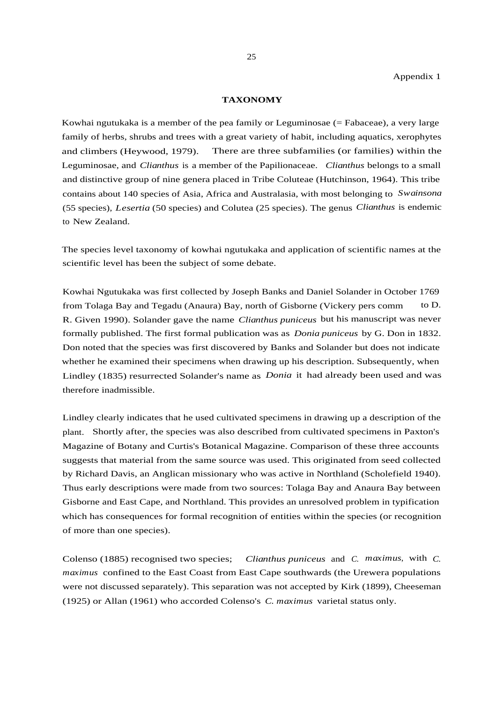#### **TAXONOMY**

Kowhai ngutukaka is a member of the pea family or Leguminosae (= Fabaceae), a very large family of herbs, shrubs and trees with a great variety of habit, including aquatics, xerophytes and climbers (Heywood, 1979). There are three subfamilies (or families) within the Leguminosae, and *Clianthus* is a member of the Papilionaceae. *Clianthus* belongs to a small and distinctive group of nine genera placed in Tribe Coluteae (Hutchinson, 1964). This tribe contains about 140 species of Asia, Africa and Australasia, with most belonging to *Swainsona* (55 species), *Lesertia* (50 species) and Colutea (25 species). The genus *Clianthus* is endemic to New Zealand.

The species level taxonomy of kowhai ngutukaka and application of scientific names at the scientific level has been the subject of some debate.

Kowhai Ngutukaka was first collected by Joseph Banks and Daniel Solander in October 1769 from Tolaga Bay and Tegadu (Anaura) Bay, north of Gisborne (Vickery pers comm to D. R. Given 1990). Solander gave the name *Clianthus puniceus* but his manuscript was never formally published. The first formal publication was as *Donia puniceus* by G. Don in 1832. Don noted that the species was first discovered by Banks and Solander but does not indicate whether he examined their specimens when drawing up his description. Subsequently, when Lindley (1835) resurrected Solander's name as *Donia* it had already been used and was therefore inadmissible.

Lindley clearly indicates that he used cultivated specimens in drawing up a description of the plant. Shortly after, the species was also described from cultivated specimens in Paxton's Magazine of Botany and Curtis's Botanical Magazine. Comparison of these three accounts suggests that material from the same source was used. This originated from seed collected by Richard Davis, an Anglican missionary who was active in Northland (Scholefield 1940). Thus early descriptions were made from two sources: Tolaga Bay and Anaura Bay between Gisborne and East Cape, and Northland. This provides an unresolved problem in typification which has consequences for formal recognition of entities within the species (or recognition of more than one species).

Colenso (1885) recognised two species; *Clianthus puniceus* and *C. maximus*, with *C. maximus* confined to the East Coast from East Cape southwards (the Urewera populations were not discussed separately). This separation was not accepted by Kirk (1899), Cheeseman (1925) or Allan (1961) who accorded Colenso's *C. maximus* varietal status only.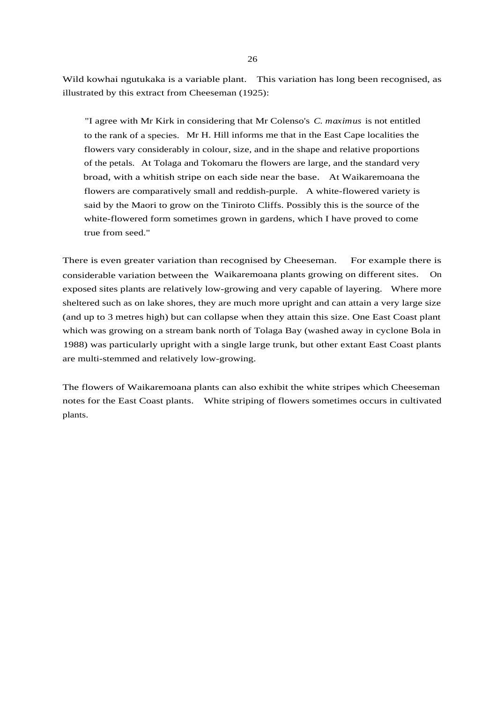Wild kowhai ngutukaka is a variable plant. This variation has long been recognised, as illustrated by this extract from Cheeseman (1925):

"I agree with Mr Kirk in considering that Mr Colenso's *C. maximus* is not entitled to the rank of a species. Mr H. Hill informs me that in the East Cape localities the flowers vary considerably in colour, size, and in the shape and relative proportions of the petals. At Tolaga and Tokomaru the flowers are large, and the standard very broad, with a whitish stripe on each side near the base. At Waikaremoana the flowers are comparatively small and reddish-purple. A white-flowered variety is said by the Maori to grow on the Tiniroto Cliffs. Possibly this is the source of the white-flowered form sometimes grown in gardens, which I have proved to come true from seed."

There is even greater variation than recognised by Cheeseman. For example there is considerable variation between the Waikaremoana plants growing on different sites. On exposed sites plants are relatively low-growing and very capable of layering. Where more sheltered such as on lake shores, they are much more upright and can attain a very large size (and up to 3 metres high) but can collapse when they attain this size. One East Coast plant which was growing on a stream bank north of Tolaga Bay (washed away in cyclone Bola in 1988) was particularly upright with a single large trunk, but other extant East Coast plants are multi-stemmed and relatively low-growing.

The flowers of Waikaremoana plants can also exhibit the white stripes which Cheeseman notes for the East Coast plants. White striping of flowers sometimes occurs in cultivated plants.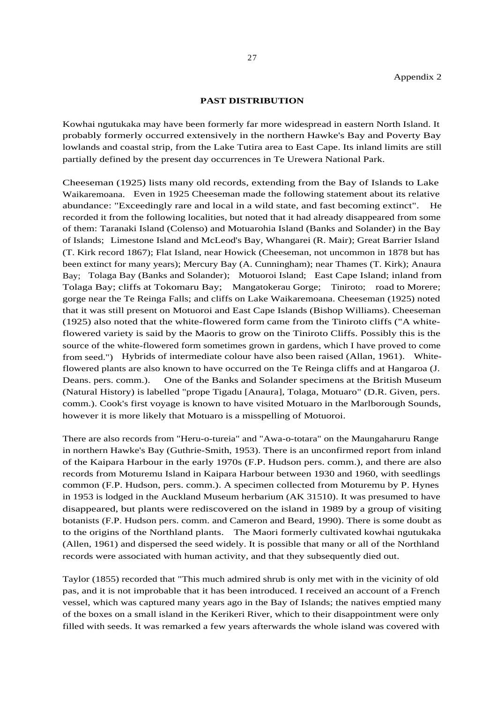#### **PAST DISTRIBUTION**

Kowhai ngutukaka may have been formerly far more widespread in eastern North Island. It probably formerly occurred extensively in the northern Hawke's Bay and Poverty Bay lowlands and coastal strip, from the Lake Tutira area to East Cape. Its inland limits are still partially defined by the present day occurrences in Te Urewera National Park.

Cheeseman (1925) lists many old records, extending from the Bay of Islands to Lake Waikaremoana. Even in 1925 Cheeseman made the following statement about its relative abundance: "Exceedingly rare and local in a wild state, and fast becoming extinct". He recorded it from the following localities, but noted that it had already disappeared from some of them: Taranaki Island (Colenso) and Motuarohia Island (Banks and Solander) in the Bay of Islands; Limestone Island and McLeod's Bay, Whangarei (R. Mair); Great Barrier Island (T. Kirk record 1867); Flat Island, near Howick (Cheeseman, not uncommon in 1878 but has been extinct for many years); Mercury Bay (A. Cunningham); near Thames (T. Kirk); Anaura Bay; Tolaga Bay (Banks and Solander); Motuoroi Island; East Cape Island; inland from Tolaga Bay; cliffs at Tokomaru Bay; Mangatokerau Gorge; Tiniroto; road to Morere; gorge near the Te Reinga Falls; and cliffs on Lake Waikaremoana. Cheeseman (1925) noted that it was still present on Motuoroi and East Cape Islands (Bishop Williams). Cheeseman (1925) also noted that the white-flowered form came from the Tiniroto cliffs ("A whiteflowered variety is said by the Maoris to grow on the Tiniroto Cliffs. Possibly this is the source of the white-flowered form sometimes grown in gardens, which I have proved to come from seed.") Hybrids of intermediate colour have also been raised (Allan, 1961). Whiteflowered plants are also known to have occurred on the Te Reinga cliffs and at Hangaroa (J. Deans. pers. comm.). One of the Banks and Solander specimens at the British Museum (Natural History) is labelled "prope Tigadu [Anaura], Tolaga, Motuaro" (D.R. Given, pers. comm.). Cook's first voyage is known to have visited Motuaro in the Marlborough Sounds, however it is more likely that Motuaro is a misspelling of Motuoroi.

There are also records from "Heru-o-tureia" and "Awa-o-totara" on the Maungaharuru Range in northern Hawke's Bay (Guthrie-Smith, 1953). There is an unconfirmed report from inland of the Kaipara Harbour in the early 1970s (F.P. Hudson pers. comm.), and there are also records from Moturemu Island in Kaipara Harbour between 1930 and 1960, with seedlings common (F.P. Hudson, pers. comm.). A specimen collected from Moturemu by P. Hynes in 1953 is lodged in the Auckland Museum herbarium (AK 31510). It was presumed to have disappeared, but plants were rediscovered on the island in 1989 by a group of visiting botanists (F.P. Hudson pers. comm. and Cameron and Beard, 1990). There is some doubt as to the origins of the Northland plants. The Maori formerly cultivated kowhai ngutukaka (Allen, 1961) and dispersed the seed widely. It is possible that many or all of the Northland records were associated with human activity, and that they subsequently died out.

Taylor (1855) recorded that "This much admired shrub is only met with in the vicinity of old pas, and it is not improbable that it has been introduced. I received an account of a French vessel, which was captured many years ago in the Bay of Islands; the natives emptied many of the boxes on a small island in the Kerikeri River, which to their disappointment were only filled with seeds. It was remarked a few years afterwards the whole island was covered with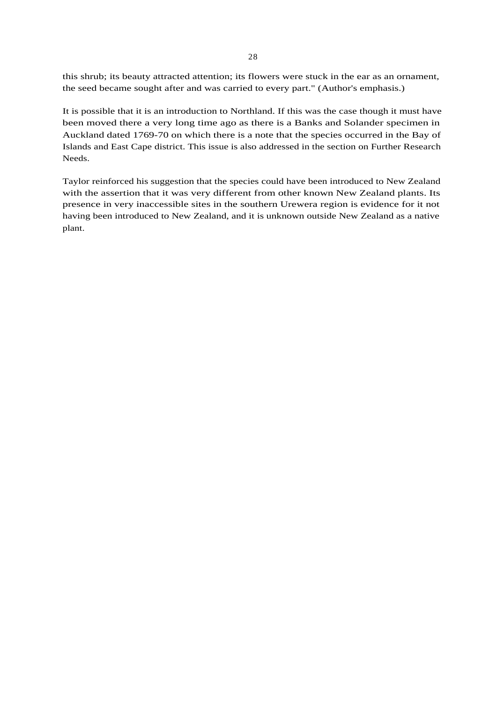this shrub; its beauty attracted attention; its flowers were stuck in the ear as an ornament, the seed became sought after and was carried to every part." (Author's emphasis.)

It is possible that it is an introduction to Northland. If this was the case though it must have been moved there a very long time ago as there is a Banks and Solander specimen in Auckland dated 1769-70 on which there is a note that the species occurred in the Bay of Islands and East Cape district. This issue is also addressed in the section on Further Research Needs.

Taylor reinforced his suggestion that the species could have been introduced to New Zealand with the assertion that it was very different from other known New Zealand plants. Its presence in very inaccessible sites in the southern Urewera region is evidence for it not having been introduced to New Zealand, and it is unknown outside New Zealand as a native plant.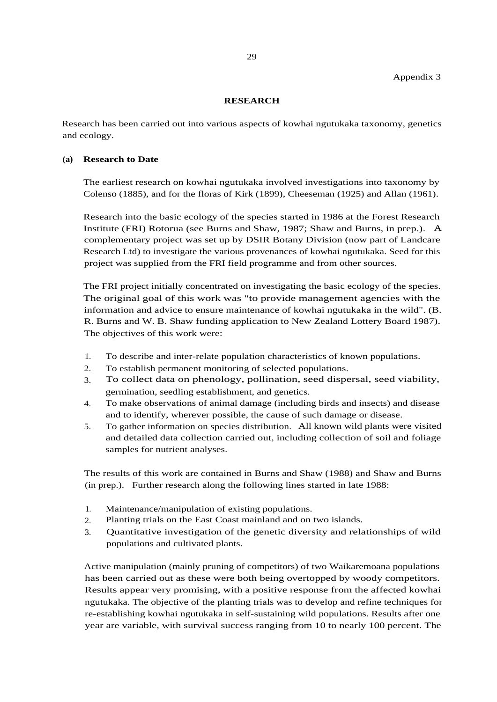Appendix 3

## **RESEARCH**

Research has been carried out into various aspects of kowhai ngutukaka taxonomy, genetics and ecology.

### **(a) Research to Date**

The earliest research on kowhai ngutukaka involved investigations into taxonomy by Colenso (1885), and for the floras of Kirk (1899), Cheeseman (1925) and Allan (1961).

Research into the basic ecology of the species started in 1986 at the Forest Research Institute (FRI) Rotorua (see Burns and Shaw, 1987; Shaw and Burns, in prep.). A complementary project was set up by DSIR Botany Division (now part of Landcare Research Ltd) to investigate the various provenances of kowhai ngutukaka. Seed for this project was supplied from the FRI field programme and from other sources.

The FRI project initially concentrated on investigating the basic ecology of the species. The original goal of this work was "to provide management agencies with the information and advice to ensure maintenance of kowhai ngutukaka in the wild". (B. R. Burns and W. B. Shaw funding application to New Zealand Lottery Board 1987). The objectives of this work were:

- 1. To describe and inter-relate population characteristics of known populations.
- 2. To establish permanent monitoring of selected populations.
- 3. To collect data on phenology, pollination, seed dispersal, seed viability, germination, seedling establishment, and genetics.
- 4. To make observations of animal damage (including birds and insects) and disease and to identify, wherever possible, the cause of such damage or disease.
- 5. To gather information on species distribution. All known wild plants were visited and detailed data collection carried out, including collection of soil and foliage samples for nutrient analyses.

The results of this work are contained in Burns and Shaw (1988) and Shaw and Burns (in prep.). Further research along the following lines started in late 1988:

- 1. Maintenance/manipulation of existing populations.
- 2. Planting trials on the East Coast mainland and on two islands.
- 3. Quantitative investigation of the genetic diversity and relationships of wild populations and cultivated plants.

Active manipulation (mainly pruning of competitors) of two Waikaremoana populations has been carried out as these were both being overtopped by woody competitors. Results appear very promising, with a positive response from the affected kowhai ngutukaka. The objective of the planting trials was to develop and refine techniques for re-establishing kowhai ngutukaka in self-sustaining wild populations. Results after one year are variable, with survival success ranging from 10 to nearly 100 percent. The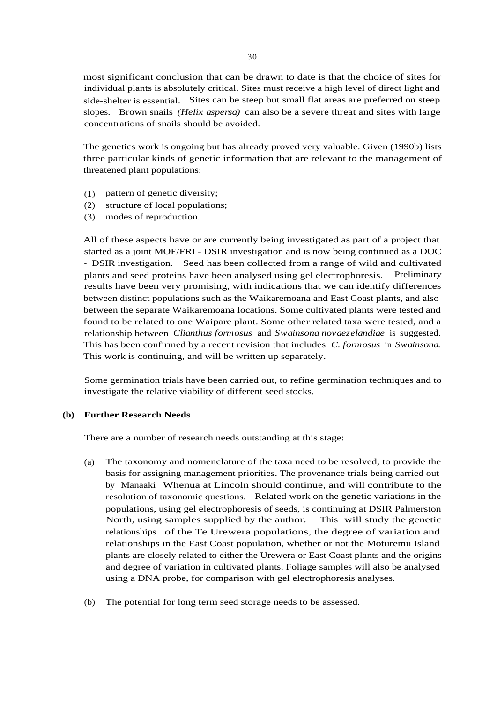most significant conclusion that can be drawn to date is that the choice of sites for individual plants is absolutely critical. Sites must receive a high level of direct light and side-shelter is essential. Sites can be steep but small flat areas are preferred on steep slopes. Brown snails *(Helix aspersa)* can also be a severe threat and sites with large concentrations of snails should be avoided.

The genetics work is ongoing but has already proved very valuable. Given (1990b) lists three particular kinds of genetic information that are relevant to the management of threatened plant populations:

- (1) pattern of genetic diversity;
- (2) structure of local populations;
- (3) modes of reproduction.

All of these aspects have or are currently being investigated as part of a project that started as a joint MOF/FRI - DSIR investigation and is now being continued as a DOC - DSIR investigation. Seed has been collected from a range of wild and cultivated plants and seed proteins have been analysed using gel electrophoresis. Preliminary results have been very promising, with indications that we can identify differences between distinct populations such as the Waikaremoana and East Coast plants, and also between the separate Waikaremoana locations. Some cultivated plants were tested and found to be related to one Waipare plant. Some other related taxa were tested, and a relationship between *Clianthus formosus* and *Swainsona novaezelandiae* is suggested. This has been confirmed by a recent revision that includes *C. formosus* in *Swainsona.* This work is continuing, and will be written up separately.

Some germination trials have been carried out, to refine germination techniques and to investigate the relative viability of different seed stocks.

## **(b) Further Research Needs**

There are a number of research needs outstanding at this stage:

- (a) The taxonomy and nomenclature of the taxa need to be resolved, to provide the basis for assigning management priorities. The provenance trials being carried out by Manaaki Whenua at Lincoln should continue, and will contribute to the resolution of taxonomic questions. Related work on the genetic variations in the populations, using gel electrophoresis of seeds, is continuing at DSIR Palmerston North, using samples supplied by the author. This will study the genetic relationships of the Te Urewera populations, the degree of variation and relationships in the East Coast population, whether or not the Moturemu Island plants are closely related to either the Urewera or East Coast plants and the origins and degree of variation in cultivated plants. Foliage samples will also be analysed using a DNA probe, for comparison with gel electrophoresis analyses.
- (b) The potential for long term seed storage needs to be assessed.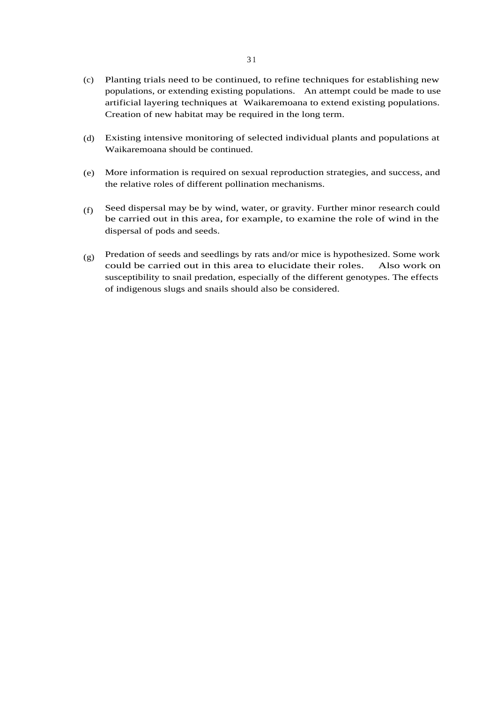- Planting trials need to be continued, to refine techniques for establishing new (c) populations, or extending existing populations. An attempt could be made to use artificial layering techniques at Waikaremoana to extend existing populations. Creation of new habitat may be required in the long term.
- Existing intensive monitoring of selected individual plants and populations at (d) Waikaremoana should be continued.
- More information is required on sexual reproduction strategies, and success, and (e) the relative roles of different pollination mechanisms.
- Seed dispersal may be by wind, water, or gravity. Further minor research could be carried out in this area, for example, to examine the role of wind in the dispersal of pods and seeds. (f)
- Predation of seeds and seedlings by rats and/or mice is hypothesized. Some work could be carried out in this area to elucidate their roles. Also work on susceptibility to snail predation, especially of the different genotypes. The effects of indigenous slugs and snails should also be considered. (g)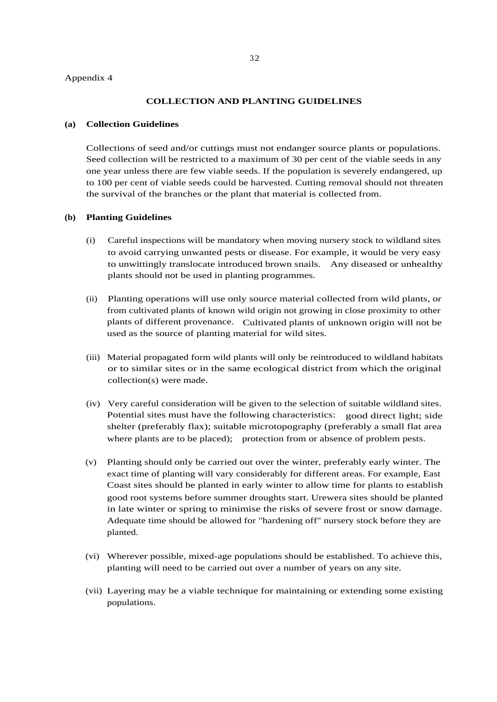#### Appendix 4

#### **COLLECTION AND PLANTING GUIDELINES**

#### **(a) Collection Guidelines**

Collections of seed and/or cuttings must not endanger source plants or populations. Seed collection will be restricted to a maximum of 30 per cent of the viable seeds in any one year unless there are few viable seeds. If the population is severely endangered, up to 100 per cent of viable seeds could be harvested. Cutting removal should not threaten the survival of the branches or the plant that material is collected from.

#### **(b) Planting Guidelines**

- Careful inspections will be mandatory when moving nursery stock to wildland sites to avoid carrying unwanted pests or disease. For example, it would be very easy to unwittingly translocate introduced brown snails. Any diseased or unhealthy plants should not be used in planting programmes. (i)
- (ii) Planting operations will use only source material collected from wild plants, or from cultivated plants of known wild origin not growing in close proximity to other plants of different provenance. Cultivated plants of unknown origin will not be used as the source of planting material for wild sites.
- (iii) Material propagated form wild plants will only be reintroduced to wildland habitats or to similar sites or in the same ecological district from which the original collection(s) were made.
- (iv) Very careful consideration will be given to the selection of suitable wildland sites. Potential sites must have the following characteristics: good direct light; side shelter (preferably flax); suitable microtopography (preferably a small flat area where plants are to be placed); protection from or absence of problem pests.
- (v) Planting should only be carried out over the winter, preferably early winter. The exact time of planting will vary considerably for different areas. For example, East Coast sites should be planted in early winter to allow time for plants to establish good root systems before summer droughts start. Urewera sites should be planted in late winter or spring to minimise the risks of severe frost or snow damage. Adequate time should be allowed for "hardening off" nursery stock before they are planted.
- (vi) Wherever possible, mixed-age populations should be established. To achieve this, planting will need to be carried out over a number of years on any site.
- (vii) Layering may be a viable technique for maintaining or extending some existing populations.